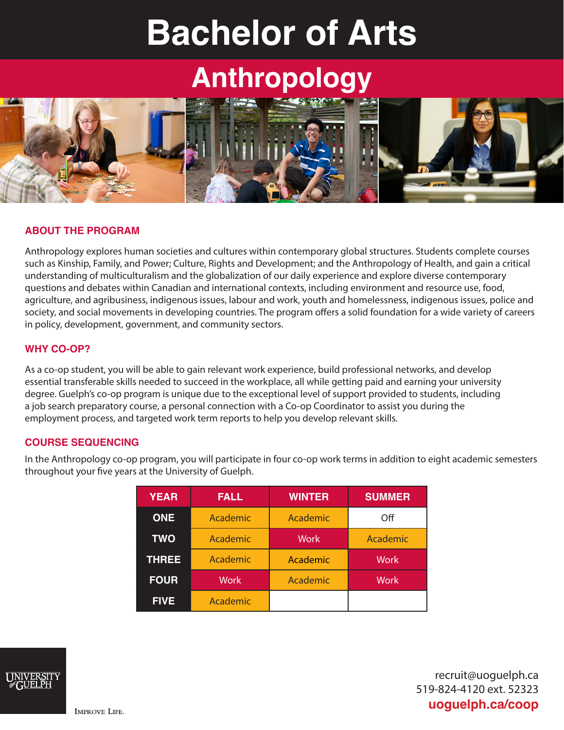# **Bachelor of Arts**

## **Anthropology**



#### **ABOUT THE PROGRAM**

Anthropology explores human societies and cultures within contemporary global structures. Students complete courses such as Kinship, Family, and Power; Culture, Rights and Development; and the Anthropology of Health, and gain a critical understanding of multiculturalism and the globalization of our daily experience and explore diverse contemporary questions and debates within Canadian and international contexts, including environment and resource use, food, agriculture, and agribusiness, indigenous issues, labour and work, youth and homelessness, indigenous issues, police and society, and social movements in developing countries. The program offers a solid foundation for a wide variety of careers in policy, development, government, and community sectors.

#### **WHY CO-OP?**

As a co-op student, you will be able to gain relevant work experience, build professional networks, and develop essential transferable skills needed to succeed in the workplace, all while getting paid and earning your university degree. Guelph's co-op program is unique due to the exceptional level of support provided to students, including a job search preparatory course, a personal connection with a Co-op Coordinator to assist you during the employment process, and targeted work term reports to help you develop relevant skills.

#### **COURSE SEQUENCING**

In the Anthropology co-op program, you will participate in four co-op work terms in addition to eight academic semesters throughout your five years at the University of Guelph.

| <b>YEAR</b>  | <b>FALL</b> | <b>WINTER</b> | <b>SUMMER</b> |
|--------------|-------------|---------------|---------------|
| <b>ONE</b>   | Academic    | Academic      | Off           |
| <b>TWO</b>   | Academic    | <b>Work</b>   | Academic      |
| <b>THREE</b> | Academic    | Academic      | <b>Work</b>   |
| <b>FOUR</b>  | <b>Work</b> | Academic      | <b>Work</b>   |
| <b>FIVE</b>  | Academic    |               |               |



recruit@uoguelph.ca 519-824-4120 ext. 52323 **uoguelph.ca/coop**